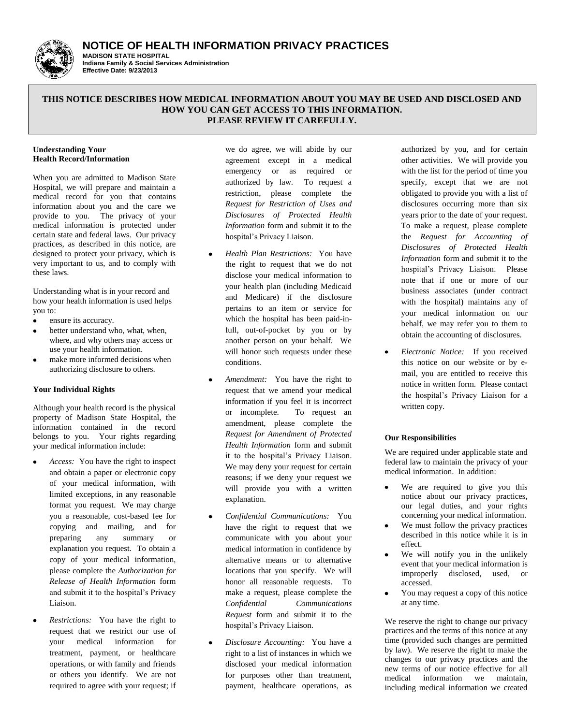**NOTICE OF HEALTH INFORMATION PRIVACY PRACTICES**



#### **MADISON STATE HOSPITAL Indiana Family & Social Services Administration Effective Date: 9/23/2013**

## **THIS NOTICE DESCRIBES HOW MEDICAL INFORMATION ABOUT YOU MAY BE USED AND DISCLOSED AND HOW YOU CAN GET ACCESS TO THIS INFORMATION. PLEASE REVIEW IT CAREFULLY.**

#### **Understanding Your Health Record/Information**

When you are admitted to Madison State Hospital, we will prepare and maintain a medical record for you that contains information about you and the care we provide to you. The privacy of your medical information is protected under certain state and federal laws. Our privacy practices, as described in this notice, are designed to protect your privacy, which is very important to us, and to comply with these laws.

Understanding what is in your record and how your health information is used helps you to:

- $\bullet$ ensure its accuracy.
- better understand who, what, when, where, and why others may access or use your health information.
- make more informed decisions when authorizing disclosure to others.

## **Your Individual Rights**

Although your health record is the physical property of Madison State Hospital, the information contained in the record belongs to you. Your rights regarding your medical information include:

- *Access:* You have the right to inspect and obtain a paper or electronic copy of your medical information, with limited exceptions, in any reasonable format you request. We may charge you a reasonable, cost-based fee for copying and mailing, and for preparing any summary or explanation you request. To obtain a copy of your medical information, please complete the *Authorization for Release of Health Information* form and submit it to the hospital's Privacy Liaison.
- *Restrictions:* You have the right to request that we restrict our use of your medical information for treatment, payment, or healthcare operations, or with family and friends or others you identify. We are not required to agree with your request; if

we do agree, we will abide by our agreement except in a medical emergency or as required or authorized by law. To request a restriction, please complete the *Request for Restriction of Uses and Disclosures of Protected Health Information* form and submit it to the hospital's Privacy Liaison.

- *Health Plan Restrictions:* You have the right to request that we do not disclose your medical information to your health plan (including Medicaid and Medicare) if the disclosure pertains to an item or service for which the hospital has been paid-infull, out-of-pocket by you or by another person on your behalf. We will honor such requests under these conditions.
- *Amendment:* You have the right to request that we amend your medical information if you feel it is incorrect or incomplete. To request an amendment, please complete the *Request for Amendment of Protected Health Information* form and submit it to the hospital's Privacy Liaison. We may deny your request for certain reasons; if we deny your request we will provide you with a written explanation.
- *Confidential Communications:* You have the right to request that we communicate with you about your medical information in confidence by alternative means or to alternative locations that you specify. We will honor all reasonable requests. To make a request, please complete the *Confidential Communications Request* form and submit it to the hospital's Privacy Liaison.
- *Disclosure Accounting:* You have a right to a list of instances in which we disclosed your medical information for purposes other than treatment, payment, healthcare operations, as

authorized by you, and for certain other activities. We will provide you with the list for the period of time you specify, except that we are not obligated to provide you with a list of disclosures occurring more than six years prior to the date of your request. To make a request, please complete the *Request for Accounting of Disclosures of Protected Health Information* form and submit it to the hospital's Privacy Liaison. Please note that if one or more of our business associates (under contract with the hospital) maintains any of your medical information on our behalf, we may refer you to them to obtain the accounting of disclosures.

 $\bullet$ *Electronic Notice:* If you received this notice on our website or by email, you are entitled to receive this notice in written form. Please contact the hospital's Privacy Liaison for a written copy.

## **Our Responsibilities**

We are required under applicable state and federal law to maintain the privacy of your medical information. In addition:

- We are required to give you this  $\bullet$ notice about our privacy practices, our legal duties, and your rights concerning your medical information.
- $\bullet$ We must follow the privacy practices described in this notice while it is in effect.
- We will notify you in the unlikely  $\bullet$ event that your medical information is improperly disclosed, used, or accessed.
- You may request a copy of this notice  $\bullet$ at any time.

We reserve the right to change our privacy practices and the terms of this notice at any time (provided such changes are permitted by law). We reserve the right to make the changes to our privacy practices and the new terms of our notice effective for all medical information we maintain, including medical information we created